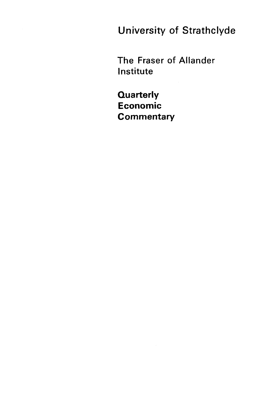**University of Strathclyde** 

The Fraser of Allander Institute

**Quarterly Economic Commentary**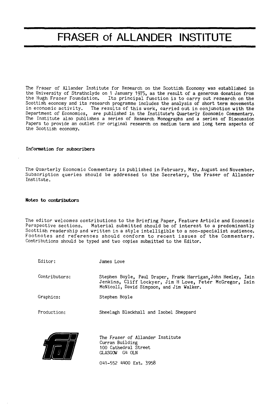# FRASER of ALLANDER INSTITUTE

The Fraser of Allander Institute for Research on the Scottish Economy was established in the University of Strathclyde on 1 January 1975, as the result of a generous donation from the Hugh Fraser Foundation. Its principal function is to carry out research on the Scottish economy and its research programme includes the analysis of short term movements in economic activity. The results of this work, carried out in conjunction with the Department of Economics, are published in the Institute's Quarterly Economic Commentary. The Institute also publishes a series of Research Monographs and a series of Discussion Papers to provide an outlet for original research on medium term and long term aspects of the Scottish economy.

#### **Information for subscribers**

The Quarterly Economic Commentary is published in February, May, August and November. Subscription queries should be addressed to the Secretary, the Fraser of Allander Institute.

#### **Notes to contributors**

Editor:

The editor welcomes contributions to the Briefing Paper, Feature Article and Economic<br>Perspective sections. Material submitted should be of interest to a predominantly Material submitted should be of interest to a predominantly Scottish readership and written in a style intelligible to a non-specialist audience. Footnotes and references should conform to recent issues of the Commentary. Contributions should be typed and two copies submitted to the Editor.

James Love

| Contributors: | Stephen Boyle, Paul Draper, Frank Harrigan, John Heeley, Iain<br>Jenkins, Cliff Lockyer, Jim H Love, Petér McGregor, Iain<br>McNicoll, David Simpson, and Jim Walker. |
|---------------|-----------------------------------------------------------------------------------------------------------------------------------------------------------------------|
| Graphics:     | Stephen Boyle                                                                                                                                                         |
| Production:   | Sheelagh Blackhall and Isobel Sheppard                                                                                                                                |



The Fraser of Allander Institute Curran Building 100 Cathedral Street GLASGOW G4 OLN

041-552 4400 Ext. 3958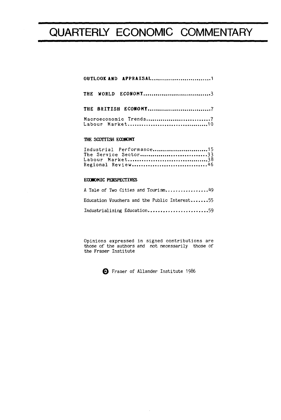# QUARTERLY ECONOMIC COMMENTARY

|  | THE WORLD ECONOMY3   |  |
|--|----------------------|--|
|  | THE BRITISH ECONOMY7 |  |
|  |                      |  |

## **THE SCOTTISH ECON**O**MY**

| Industrial Performance15 |
|--------------------------|
| The Service Sector33     |
|                          |
| Regional Review46        |

### **ECON**O**MIC PERSPECTIVES**

| A Tale of Two Cities and Tourism49           |  |
|----------------------------------------------|--|
| Education Vouchers and the Public Interest55 |  |
| Industrialising Education59                  |  |

Opinions expressed in signed contributions are those of the authors and not necessarily those of the Fraser Institute

0 Fraser of Allander Institute 1986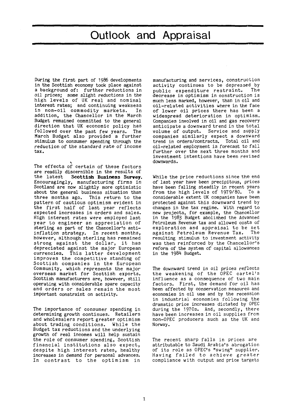# Outlook and Appraisal

During the first part of 1986 developments in the Scottish economy took place against a background of: further reductions in oil prices; some slight reductions in the high levels of UK real and nominal interest rates; and continuing weakness<br>in non-oil commodity markets. In in non-oil commodity markets. addition, the Chancellor in the March Budget remained committed to the general direction that UK economic policy has followed over the past few years. The March Budget also provided a further stimulus to consumer spending through the reduction of the standard rate of income tax.

The effects of certain of these factors are readily discernible in the results of<br>the latest Scottish Business Survey. Scottish Business Survey. Encouragingly, manufacturing firms in Scotland are now slightly more optimistic about the general business situation than<br>three months ago. This return to the This return to the pattern of cautious optimism evident in the first half of last year reflects expected increases in orders and sales. High interest rates were employed last year to engineer an appreciation of sterling as part of the Chancellor's antiinflation strategy. In recent months, however, although sterling has remained strong against the dollar, it has depreciated against the major European<br>currencies. This latter development This latter development improves the competitive standing of Scottish companies in the European Community, which represents the major overseas market for Scottish exports. Scottish manufacturers are, however, still operating with considerable spare capacity and orders or sales remain the most important constraint on activity.

The importance of consumer spending in determining growth continues. Retailers and wholesalers report greater optimism about trading conditions. While the Budget tax reductions and the underlying growth of real incomes will help sustain the role of consumer spending, Scottish financial institutions also expect, despite high interest rates, healthy increases in demand for personal advances. In contrast to the optimism in

manufacturing and services, construction activity continues to be depressed by<br>public expenditure restraint. The public expenditure restraint. decrease in optimism in construction is much less marked, however, than in oil and oil-related activities where in the face of lower oil prices there has been a widespread deterioration in optimism. Companies involved in oil and gas recovery anticipate a downward trend in the total volume of output. Service and supply companies similarly expect a downward<br>trend in orders/contracts. Total oil and trend in orders/contracts. oil-related employment is forecast to fall further over the next three months and investment intentions have been revised downwards.

While the price reductions since the end of last year have been precipitous, prices have been falling steadily in recent years from the high levels of 1979/80. To a considerable extent UK companies have been protected against this downward trend by changes in the tax regime. With regard to new projects, for example, the Chancellor in the 1983 Budget abolished the Advanced Petroleum Revenue tax and allowed costs of exploration and appraisal to be set<br>against Petroleum Revenue Tax. The against Petroleum Revenue Tax. resulting stimulus to investment activity was then reinforced by the Chancellor's reform of the system of capital allowances in the 1984 Budget.

The downward trend in oil prices reflects the weakening of the OPEC cartel's influence as a consequence of two main factors. First, the demand for oil has been affected by conservation measures and economies in oil use and by the recession in industrial economies following the dramatic price increases dictated by OPEC during the 1970s. And, secondly, there have been increases in oil supplies from non-OPEC producers such as the UK and Norway.

The recent sharp falls in prices are attributable to Saudi Arabia's abrogation of its role as OPEC's "swing" supplier. Having failed to achieve greater compliance with output and price targets